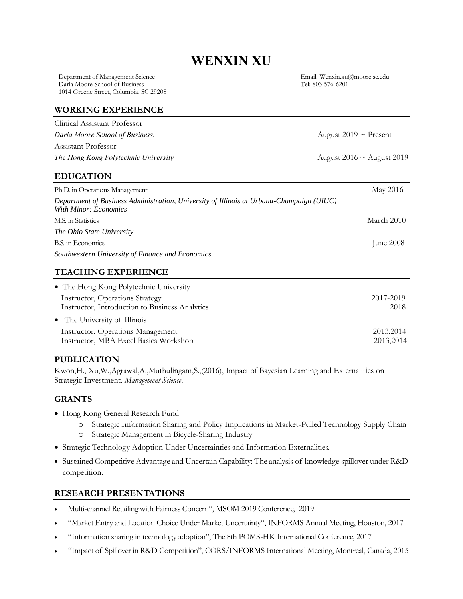# **WENXIN XU**

Department of Management Science Email: Wenxin.xu@moore.sc.edu Darla Moore School of Business 1014 Greene Street, Columbia, SC 29208

*Darla Moore School of Business.* August 2019 ~ Present

*The Hong Kong Polytechnic University* August 2016 ~ August 2019

#### **WORKING EXPERIENCE**

| Clinical Assistant Professor         |
|--------------------------------------|
| Darla Moore School of Business.      |
| Assistant Professor                  |
| The Hong Kong Polytechnic University |

# **EDUCATION**

| Ph.D. in Operations Management                                                                                    | May 2016   |
|-------------------------------------------------------------------------------------------------------------------|------------|
| Department of Business Administration, University of Illinois at Urbana-Champaign (UIUC)<br>With Minor: Economics |            |
| M.S. in Statistics                                                                                                | March 2010 |
| The Ohio State University                                                                                         |            |
| B.S. in Economics                                                                                                 | June 2008  |
| Southwestern University of Finance and Economics                                                                  |            |

# **TEACHING EXPERIENCE**

| • The Hong Kong Polytechnic University         |            |
|------------------------------------------------|------------|
| Instructor, Operations Strategy                | 2017-2019  |
| Instructor, Introduction to Business Analytics | 2018       |
| • The University of Illinois                   |            |
| Instructor, Operations Management              | 2013, 2014 |
| Instructor, MBA Excel Basics Workshop          | 2013, 2014 |

# **PUBLICATION**

Kwon,H., Xu,W.,Agrawal,A.,Muthulingam,S.,(2016), Impact of Bayesian Learning and Externalities on Strategic Investment. *Management Science*.

## **GRANTS**

- Hong Kong General Research Fund
	- o Strategic Information Sharing and Policy Implications in Market-Pulled Technology Supply Chain
	- o Strategic Management in Bicycle-Sharing Industry
- Strategic Technology Adoption Under Uncertainties and Information Externalities.
- Sustained Competitive Advantage and Uncertain Capability: The analysis of knowledge spillover under R&D competition.

## **RESEARCH PRESENTATIONS**

- Multi-channel Retailing with Fairness Concern", MSOM 2019 Conference, 2019
- "Market Entry and Location Choice Under Market Uncertainty", INFORMS Annual Meeting, Houston, 2017
- "Information sharing in technology adoption", The 8th POMS-HK International Conference, 2017
- "Impact of Spillover in R&D Competition", CORS/INFORMS International Meeting, Montreal, Canada, 2015